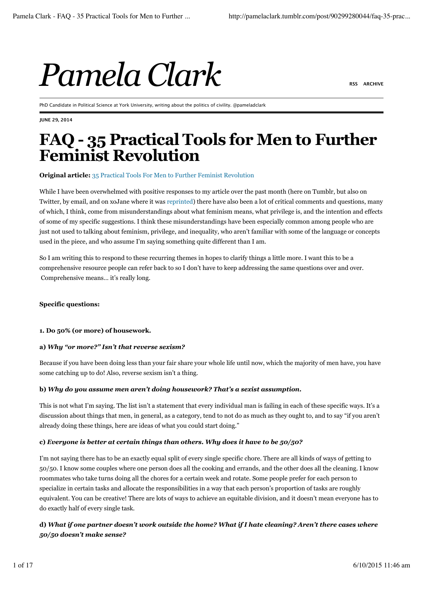# $P$ amela Clark

PhD Candidate in Political Science at York University, writing about the politics of civility. @pameladclark

**JUNE 29, 2014**

# **FAQ - 35 Practical Tools for Men to Further Feminist Revolution**

#### **Original article:** 35 Practical Tools For Men to Further Feminist Revolution

While I have been overwhelmed with positive responses to my article over the past month (here on Tumblr, but also on Twitter, by email, and on xoJane where it was reprinted) there have also been a lot of critical comments and questions, many of which, I think, come from misunderstandings about what feminism means, what privilege is, and the intention and effects of some of my specific suggestions. I think these misunderstandings have been especially common among people who are just not used to talking about feminism, privilege, and inequality, who aren't familiar with some of the language or concepts used in the piece, and who assume I'm saying something quite different than I am.

So I am writing this to respond to these recurring themes in hopes to clarify things a little more. I want this to be a comprehensive resource people can refer back to so I don't have to keep addressing the same questions over and over. Comprehensive means… it's really long.

#### **Specific questions:**

# **1. Do 50% (or more) of housework.**

#### **a)** *Why "or more?" Isn't that reverse sexism?*

Because if you have been doing less than your fair share your whole life until now, which the majority of men have, you have some catching up to do! Also, reverse sexism isn't a thing.

#### **b)** *Why do you assume men aren't doing housework? That's a sexist assumption.*

This is not what I'm saying. The list isn't a statement that every individual man is failing in each of these specific ways. It's a discussion about things that men, in general, as a category, tend to not do as much as they ought to, and to say "if you aren't already doing these things, here are ideas of what you could start doing."

# **c)** *Everyone is better at certain things than others. Why does it have to be 50/50?*

I'm not saying there has to be an exactly equal split of every single specific chore. There are all kinds of ways of getting to 50/50. I know some couples where one person does all the cooking and errands, and the other does all the cleaning. I know roommates who take turns doing all the chores for a certain week and rotate. Some people prefer for each person to specialize in certain tasks and allocate the responsibilities in a way that each person's proportion of tasks are roughly equivalent. You can be creative! There are lots of ways to achieve an equitable division, and it doesn't mean everyone has to do exactly half of every single task.

# **d)** *What if one partner doesn't work outside the home? What if I hate cleaning? Aren't there cases where 50/50 doesn't make sense?*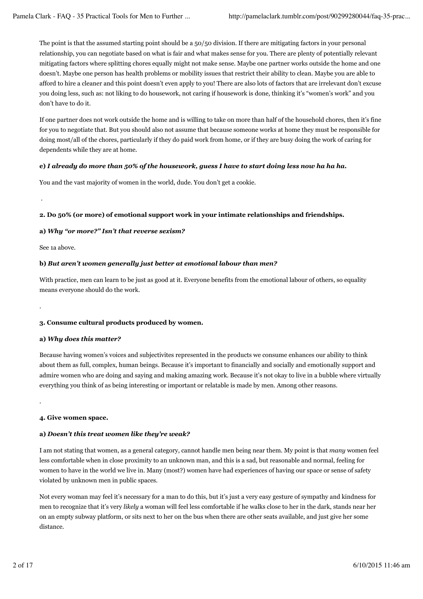The point is that the assumed starting point should be a 50/50 division. If there are mitigating factors in your personal relationship, you can negotiate based on what is fair and what makes sense for you. There are plenty of potentially relevant mitigating factors where splitting chores equally might not make sense. Maybe one partner works outside the home and one doesn't. Maybe one person has health problems or mobility issues that restrict their ability to clean. Maybe you are able to afford to hire a cleaner and this point doesn't even apply to you! There are also lots of factors that are irrelevant don't excuse you doing less, such as: not liking to do housework, not caring if housework is done, thinking it's "women's work" and you don't have to do it.

If one partner does not work outside the home and is willing to take on more than half of the household chores, then it's fine for you to negotiate that. But you should also not assume that because someone works at home they must be responsible for doing most/all of the chores, particularly if they do paid work from home, or if they are busy doing the work of caring for dependents while they are at home.

# **e)** *I already do more than 50% of the housework, guess I have to start doing less now ha ha ha.*

You and the vast majority of women in the world, dude. You don't get a cookie.

.

.

.

# **2. Do 50% (or more) of emotional support work in your intimate relationships and friendships.**

# **a)** *Why "or more?" Isn't that reverse sexism?*

See 1a above.

# **b)** *But aren't women generally just better at emotional labour than men?*

With practice, men can learn to be just as good at it. Everyone benefits from the emotional labour of others, so equality means everyone should do the work.

# **3. Consume cultural products produced by women.**

# **a)** *Why does this matter?*

Because having women's voices and subjectivites represented in the products we consume enhances our ability to think about them as full, complex, human beings. Because it's important to financially and socially and emotionally support and admire women who are doing and saying and making amazing work. Because it's not okay to live in a bubble where virtually everything you think of as being interesting or important or relatable is made by men. Among other reasons.

**4. Give women space.**

# **a)** *Doesn't this treat women like they're weak?*

I am not stating that women, as a general category, cannot handle men being near them. My point is that *many* women feel less comfortable when in close proximity to an unknown man, and this is a sad, but reasonable and normal, feeling for women to have in the world we live in. Many (most?) women have had experiences of having our space or sense of safety violated by unknown men in public spaces.

Not every woman may feel it's necessary for a man to do this, but it's just a very easy gesture of sympathy and kindness for men to recognize that it's very *likely* a woman will feel less comfortable if he walks close to her in the dark, stands near her on an empty subway platform, or sits next to her on the bus when there are other seats available, and just give her some distance.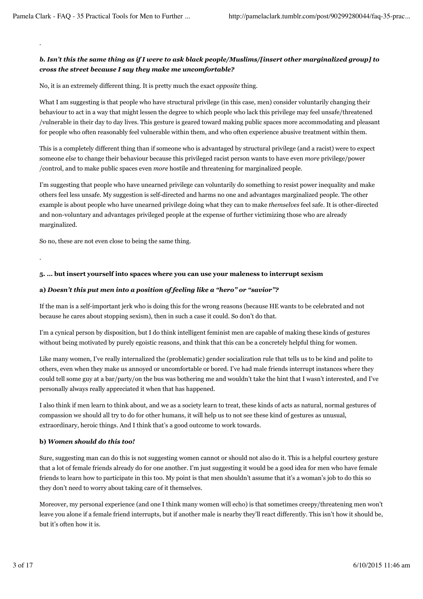*.*

.

# *b. Isn't this the same thing as if I were to ask black people/Muslims/[insert other marginalized group] to cross the street because I say they make me uncomfortable?*

No, it is an extremely different thing. It is pretty much the exact *opposite* thing.

What I am suggesting is that people who have structural privilege (in this case, men) consider voluntarily changing their behaviour to act in a way that might lessen the degree to which people who lack this privilege may feel unsafe/threatened /vulnerable in their day to day lives. This gesture is geared toward making public spaces more accommodating and pleasant for people who often reasonably feel vulnerable within them, and who often experience abusive treatment within them.

This is a completely different thing than if someone who is advantaged by structural privilege (and a racist) were to expect someone *else* to change their behaviour because this privileged racist person wants to have even *more* privilege/power /control, and to make public spaces even *more* hostile and threatening for marginalized people.

I'm suggesting that people who have unearned privilege can voluntarily do something to resist power inequality and make others feel less unsafe. My suggestion is self-directed and harms no one and advantages marginalized people. The other example is about people who have unearned privilege doing what they can to make *themselves* feel safe. It is other-directed and non-voluntary and advantages privileged people at the expense of further victimizing those who are already marginalized.

So no, these are not even close to being the same thing.

**5. … but insert yourself into spaces where you can use your maleness to interrupt sexism**

# **a)** *Doesn't this put men into a position of feeling like a "hero" or "savior"?*

If the man is a self-important jerk who is doing this for the wrong reasons (because HE wants to be celebrated and not because he cares about stopping sexism), then in such a case it could. So don't do that.

I'm a cynical person by disposition, but I do think intelligent feminist men are capable of making these kinds of gestures without being motivated by purely egoistic reasons, and think that this can be a concretely helpful thing for women.

Like many women, I've really internalized the (problematic) gender socialization rule that tells us to be kind and polite to others, even when they make us annoyed or uncomfortable or bored. I've had male friends interrupt instances where they could tell some guy at a bar/party/on the bus was bothering me and wouldn't take the hint that I wasn't interested, and I've personally always really appreciated it when that has happened.

I also think if men learn to think about, and we as a society learn to treat, these kinds of acts as natural, normal gestures of compassion we should all try to do for other humans, it will help us to not see these kind of gestures as unusual, extraordinary, heroic things. And I think that's a good outcome to work towards.

# **b)** *Women should do this too!*

Sure, suggesting man can do this is not suggesting women cannot or should not also do it. This is a helpful courtesy gesture that a lot of female friends already do for one another. I'm just suggesting it would be a good idea for men who have female friends to learn how to participate in this too. My point is that men shouldn't assume that it's a woman's job to do this so they don't need to worry about taking care of it themselves.

Moreover, my personal experience (and one I think many women will echo) is that sometimes creepy/threatening men won't leave you alone if a female friend interrupts, but if another male is nearby they'll react differently. This isn't how it should be, but it's often how it is.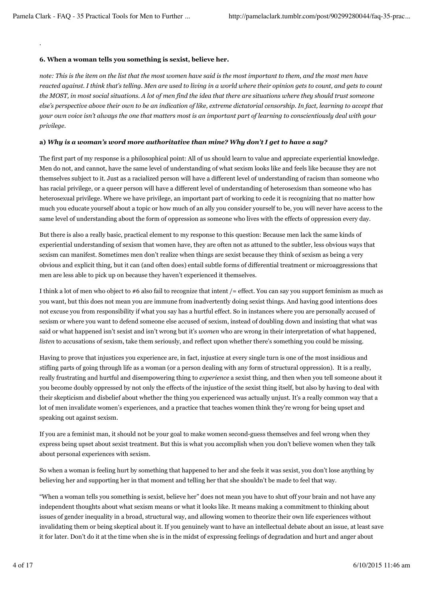.

# **6. When a woman tells you something is sexist, believe her.**

*note: This is the item on the list that the most women have said is the most important to them, and the most men have reacted against. I think that's telling. Men are used to living in a world where their opinion gets to count, and gets to count the MOST, in most social situations. A lot of men find the idea that there are situations where they should trust someone else's perspective above their own to be an indication of like, extreme dictatorial censorship. In fact, learning to accept that your own voice isn't always the one that matters most is an important part of learning to conscientiously deal with your privilege.*

# **a)** *Why is a woman's word more authoritative than mine? Why don't I get to have a say?*

The first part of my response is a philosophical point: All of us should learn to value and appreciate experiential knowledge. Men do not, and cannot, have the same level of understanding of what sexism looks like and feels like because they are not themselves subject to it. Just as a racialized person will have a different level of understanding of racism than someone who has racial privilege, or a queer person will have a different level of understanding of heterosexism than someone who has heterosexual privilege. Where we have privilege, an important part of working to cede it is recognizing that no matter how much you educate yourself about a topic or how much of an ally you consider yourself to be, you will never have access to the same level of understanding about the form of oppression as someone who lives with the effects of oppression every day.

But there is also a really basic, practical element to my response to this question: Because men lack the same kinds of experiential understanding of sexism that women have, they are often not as attuned to the subtler, less obvious ways that sexism can manifest. Sometimes men don't realize when things are sexist because they think of sexism as being a very obvious and explicit thing, but it can (and often does) entail subtle forms of differential treatment or microaggressions that men are less able to pick up on because they haven't experienced it themselves.

I think a lot of men who object to  $#6$  also fail to recognize that intent  $/=$  effect. You can say you support feminism as much as you want, but this does not mean you are immune from inadvertently doing sexist things. And having good intentions does not excuse you from responsibility if what you say has a hurtful effect. So in instances where you are personally accused of sexism or where you want to defend someone else accused of sexism, instead of doubling down and insisting that what was said or what happened isn't sexist and isn't wrong but it's *women* who are wrong in their interpretation of what happened, *listen* to accusations of sexism, take them seriously, and reflect upon whether there's something you could be missing.

Having to prove that injustices you experience are, in fact, injustice at every single turn is one of the most insidious and stifling parts of going through life as a woman (or a person dealing with any form of structural oppression). It is a really, really frustrating and hurtful and disempowering thing to *experience* a sexist thing, and then when you tell someone about it you become doubly oppressed by not only the effects of the injustice of the sexist thing itself, but also by having to deal with their skepticism and disbelief about whether the thing you experienced was actually unjust. It's a really common way that a lot of men invalidate women's experiences, and a practice that teaches women think they're wrong for being upset and speaking out against sexism.

If you are a feminist man, it should not be your goal to make women second-guess themselves and feel wrong when they express being upset about sexist treatment. But this is what you accomplish when you don't believe women when they talk about personal experiences with sexism.

So when a woman is feeling hurt by something that happened to her and she feels it was sexist, you don't lose anything by believing her and supporting her in that moment and telling her that she shouldn't be made to feel that way.

"When a woman tells you something is sexist, believe her" does not mean you have to shut off your brain and not have any independent thoughts about what sexism means or what it looks like. It means making a commitment to thinking about issues of gender inequality in a broad, structural way, and allowing women to theorize their own life experiences without invalidating them or being skeptical about it. If you genuinely want to have an intellectual debate about an issue, at least save it for later. Don't do it at the time when she is in the midst of expressing feelings of degradation and hurt and anger about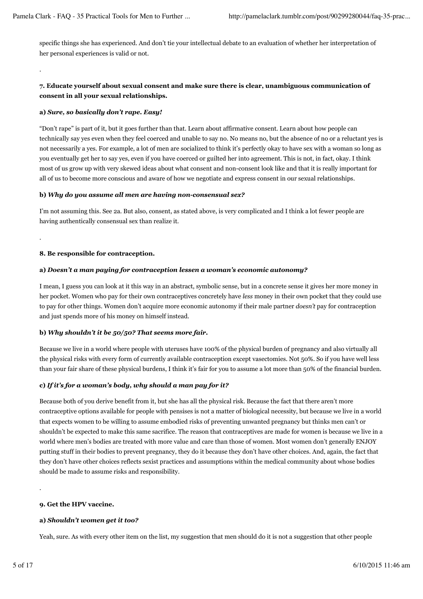specific things she has experienced. And don't tie your intellectual debate to an evaluation of whether her interpretation of her personal experiences is valid or not.

.

.

# **7. Educate yourself about sexual consent and make sure there is clear, unambiguous communication of consent in all your sexual relationships.**

# **a)** *Sure, so basically don't rape. Easy!*

"Don't rape" is part of it, but it goes further than that. Learn about affirmative consent. Learn about how people can technically say yes even when they feel coerced and unable to say no. No means no, but the absence of no or a reluctant yes is not necessarily a yes. For example, a lot of men are socialized to think it's perfectly okay to have sex with a woman so long as you eventually get her to say yes, even if you have coerced or guilted her into agreement. This is not, in fact, okay. I think most of us grow up with very skewed ideas about what consent and non-consent look like and that it is really important for all of us to become more conscious and aware of how we negotiate and express consent in our sexual relationships.

# **b)** *Why do you assume all men are having non-consensual sex?*

I'm not assuming this. See 2a. But also, consent, as stated above, is very complicated and I think a lot fewer people are having authentically consensual sex than realize it.

# **8. Be responsible for contraception.**

# **a)** *Doesn't a man paying for contraception lessen a woman's economic autonomy?*

I mean, I guess you can look at it this way in an abstract, symbolic sense, but in a concrete sense it gives her more money in her pocket. Women who pay for their own contraceptives concretely have *less* money in their own pocket that they could use to pay for other things. Women don't acquire more economic autonomy if their male partner *doesn't* pay for contraception and just spends more of his money on himself instead.

# **b)** *Why shouldn't it be 50/50? That seems more fair.*

Because we live in a world where people with uteruses have 100% of the physical burden of pregnancy and also virtually all the physical risks with every form of currently available contraception except vasectomies. Not 50%. So if you have well less than your fair share of these physical burdens, I think it's fair for you to assume a lot more than 50% of the financial burden.

# **c)** *If it's for a woman's body, why should a man pay for it?*

Because both of you derive benefit from it, but she has all the physical risk. Because the fact that there aren't more contraceptive options available for people with pensises is not a matter of biological necessity, but because we live in a world that expects women to be willing to assume embodied risks of preventing unwanted pregnancy but thinks men can't or shouldn't be expected to make this same sacrifice. The reason that contraceptives are made for women is because we live in a world where men's bodies are treated with more value and care than those of women. Most women don't generally ENJOY putting stuff in their bodies to prevent pregnancy, they do it because they don't have other choices. And, again, the fact that they don't have other choices reflects sexist practices and assumptions within the medical community about whose bodies should be made to assume risks and responsibility.

# **9. Get the HPV vaccine.**

# **a)** *Shouldn't women get it too?*

Yeah, sure. As with every other item on the list, my suggestion that men should do it is not a suggestion that other people

.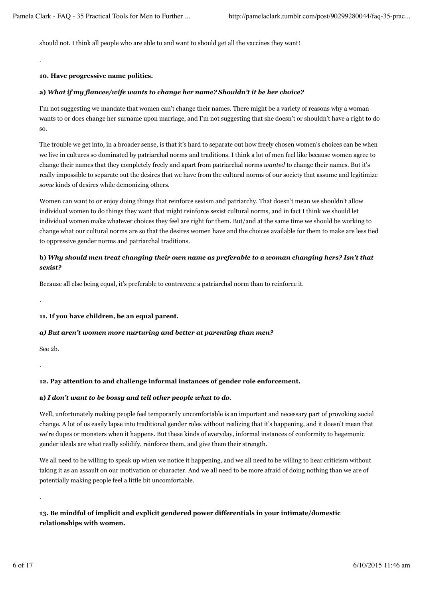should not. I think all people who are able to and want to should get all the vaccines they want!

#### **10. Have progressive name politics.**

.

#### **a)** *What if my fiancee/wife wants to change her name? Shouldn't it be her choice?*

I'm not suggesting we mandate that women can't change their names. There might be a variety of reasons why a woman wants to or does change her surname upon marriage, and I'm not suggesting that she doesn't or shouldn't have a right to do so.

The trouble we get into, in a broader sense, is that it's hard to separate out how freely chosen women's choices can be when we live in cultures so dominated by patriarchal norms and traditions. I think a lot of men feel like because women agree to change their names that they completely freely and apart from patriarchal norms *wanted* to change their names. But it's really impossible to separate out the desires that we have from the cultural norms of our society that assume and legitimize *some* kinds of desires while demonizing others.

Women can want to or enjoy doing things that reinforce sexism and patriarchy. That doesn't mean we shouldn't allow individual women to do things they want that might reinforce sexist cultural norms, and in fact I think we should let individual women make whatever choices they feel are right for them. But/and at the same time we should be working to change what our cultural norms are so that the desires women have and the choices available for them to make are less tied to oppressive gender norms and patriarchal traditions.

# **b)** *Why should men treat changing their own name as preferable to a woman changing hers? Isn't that sexist?*

Because all else being equal, it's preferable to contravene a patriarchal norm than to reinforce it.

**11. If you have children, be an equal parent.**

# *a) But aren't women more nurturing and better at parenting than men?*

See 2b.

.

.

.

# **12. Pay attention to and challenge informal instances of gender role enforcement.**

# **a)** *I don't want to be bossy and tell other people what to do.*

Well, unfortunately making people feel temporarily uncomfortable is an important and necessary part of provoking social change. A lot of us easily lapse into traditional gender roles without realizing that it's happening, and it doesn't mean that we're dupes or monsters when it happens. But these kinds of everyday, informal instances of conformity to hegemonic gender ideals are what really solidify, reinforce them, and give them their strength.

We all need to be willing to speak up when we notice it happening, and we all need to be willing to hear criticism without taking it as an assault on our motivation or character. And we all need to be more afraid of doing nothing than we are of potentially making people feel a little bit uncomfortable.

**13. Be mindful of implicit and explicit gendered power differentials in your intimate/domestic relationships with women.**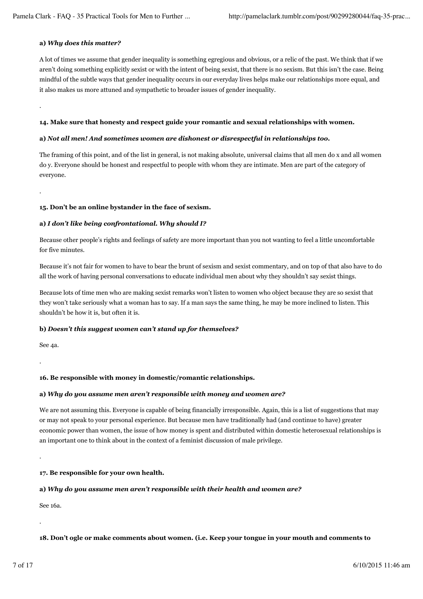# **a)** *Why does this matter?*

.

.

A lot of times we assume that gender inequality is something egregious and obvious, or a relic of the past. We think that if we aren't doing something explicitly sexist or with the intent of being sexist, that there is no sexism. But this isn't the case. Being mindful of the subtle ways that gender inequality occurs in our everyday lives helps make our relationships more equal, and it also makes us more attuned and sympathetic to broader issues of gender inequality.

# **14. Make sure that honesty and respect guide your romantic and sexual relationships with women.**

# **a)** *Not all men! And sometimes women are dishonest or disrespectful in relationships too.*

The framing of this point, and of the list in general, is not making absolute, universal claims that all men do x and all women do y. Everyone should be honest and respectful to people with whom they are intimate. Men are part of the category of everyone.

# **15. Don't be an online bystander in the face of sexism.**

# **a)** *I don't like being confrontational. Why should I?*

Because other people's rights and feelings of safety are more important than you not wanting to feel a little uncomfortable for five minutes.

Because it's not fair for women to have to bear the brunt of sexism and sexist commentary, and on top of that also have to do all the work of having personal conversations to educate individual men about why they shouldn't say sexist things.

Because lots of time men who are making sexist remarks won't listen to women who object because they are so sexist that they won't take seriously what a woman has to say. If a man says the same thing, he may be more inclined to listen. This shouldn't be how it is, but often it is.

# **b)** *Doesn't this suggest women can't stand up for themselves?*

See 4a.

.

# **16. Be responsible with money in domestic/romantic relationships.**

# **a)** *Why do you assume men aren't responsible with money and women are?*

We are not assuming this. Everyone is capable of being financially irresponsible. Again, this is a list of suggestions that may or may not speak to your personal experience. But because men have traditionally had (and continue to have) greater economic power than women, the issue of how money is spent and distributed within domestic heterosexual relationships is an important one to think about in the context of a feminist discussion of male privilege.

**17. Be responsible for your own health.**

# **a)** *Why do you assume men aren't responsible with their health and women are?*

See 16a.

.

.

# **18. Don't ogle or make comments about women. (i.e. Keep your tongue in your mouth and comments to**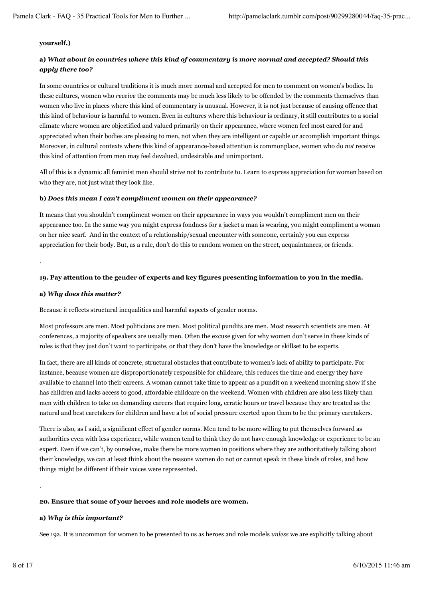#### **yourself.)**

# **a)** *What about in countries where this kind of commentary is more normal and accepted? Should this apply there too?*

In some countries or cultural traditions it is much more normal and accepted for men to comment on women's bodies. In these cultures, women who *receive* the comments may be much less likely to be offended by the comments themselves than women who live in places where this kind of commentary is unusual. However, it is not just because of causing offence that this kind of behaviour is harmful to women. Even in cultures where this behaviour is ordinary, it still contributes to a social climate where women are objectified and valued primarily on their appearance, where women feel most cared for and appreciated when their bodies are pleasing to men, not when they are intelligent or capable or accomplish important things. Moreover, in cultural contexts where this kind of appearance-based attention is commonplace, women who do *not* receive this kind of attention from men may feel devalued, undesirable and unimportant.

All of this is a dynamic all feminist men should strive not to contribute to. Learn to express appreciation for women based on who they are, not just what they look like.

#### **b)** *Does this mean I can't compliment women on their appearance?*

It means that you shouldn't compliment women on their appearance in ways you wouldn't compliment men on their appearance too. In the same way you might express fondness for a jacket a man is wearing, you might compliment a woman on her nice scarf. And in the context of a relationship/sexual encounter with someone, certainly you can express appreciation for their body. But, as a rule, don't do this to random women on the street, acquaintances, or friends.

#### **19. Pay attention to the gender of experts and key figures presenting information to you in the media.**

#### **a)** *Why does this matter?*

.

Because it reflects structural inequalities and harmful aspects of gender norms.

Most professors are men. Most politicians are men. Most political pundits are men. Most research scientists are men. At conferences, a majority of speakers are usually men. Often the excuse given for why women don't serve in these kinds of roles is that they just don't want to participate, or that they don't have the knowledge or skillset to be experts.

In fact, there are all kinds of concrete, structural obstacles that contribute to women's lack of ability to participate. For instance, because women are disproportionately responsible for childcare, this reduces the time and energy they have available to channel into their careers. A woman cannot take time to appear as a pundit on a weekend morning show if she has children and lacks access to good, affordable childcare on the weekend. Women with children are also less likely than men with children to take on demanding careers that require long, erratic hours or travel because they are treated as the natural and best caretakers for children and have a lot of social pressure exerted upon them to be the primary caretakers.

There is also, as I said, a significant effect of gender norms. Men tend to be more willing to put themselves forward as authorities even with less experience, while women tend to think they do not have enough knowledge or experience to be an expert. Even if we can't, by ourselves, make there be more women in positions where they are authoritatively talking about their knowledge, we can at least think about the reasons women do not or cannot speak in these kinds of roles, and how things might be different if their voices were represented.

#### **20. Ensure that some of your heroes and role models are women.**

#### **a)** *Why is this important?*

See 19a. It is uncommon for women to be presented to us as heroes and role models *unless* we are explicitly talking about

.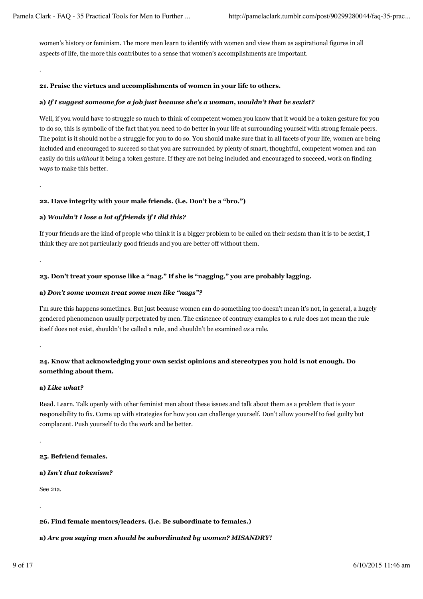women's history or feminism. The more men learn to identify with women and view them as aspirational figures in all aspects of life, the more this contributes to a sense that women's accomplishments are important.

# **21. Praise the virtues and accomplishments of women in your life to others.**

#### **a)** *If I suggest someone for a job just because she's a woman, wouldn't that be sexist?*

Well, if you would have to struggle so much to think of competent women you know that it would be a token gesture for you to do so, this is symbolic of the fact that you need to do better in your life at surrounding yourself with strong female peers. The point is it should not be a struggle for you to do so. You should make sure that in all facets of your life, women are being included and encouraged to succeed so that you are surrounded by plenty of smart, thoughtful, competent women and can easily do this *without* it being a token gesture. If they are not being included and encouraged to succeed, work on finding ways to make this better.

#### **22. Have integrity with your male friends. (i.e. Don't be a "bro.")**

#### **a)** *Wouldn't I lose a lot of friends if I did this?*

If your friends are the kind of people who think it is a bigger problem to be called on their sexism than it is to be sexist, I think they are not particularly good friends and you are better off without them.

# **23. Don't treat your spouse like a "nag." If she is "nagging," you are probably lagging.**

#### **a)** *Don't some women treat some men like "nags"?*

I'm sure this happens sometimes. But just because women can do something too doesn't mean it's not, in general, a hugely gendered phenomenon usually perpetrated by men. The existence of contrary examples to a rule does not mean the rule itself does not exist, shouldn't be called a rule, and shouldn't be examined *as* a rule.

.

.

.

.

# **24. Know that acknowledging your own sexist opinions and stereotypes you hold is not enough. Do something about them.**

#### **a)** *Like what?*

Read. Learn. Talk openly with other feminist men about these issues and talk about them as a problem that is your responsibility to fix. Come up with strategies for how you can challenge yourself. Don't allow yourself to feel guilty but complacent. Push yourself to do the work and be better.

**25. Befriend females.**

**a)** *Isn't that tokenism?*

See 21a.

.

.

#### **26. Find female mentors/leaders. (i.e. Be subordinate to females.)**

#### **a)** *Are you saying men should be subordinated by women? MISANDRY!*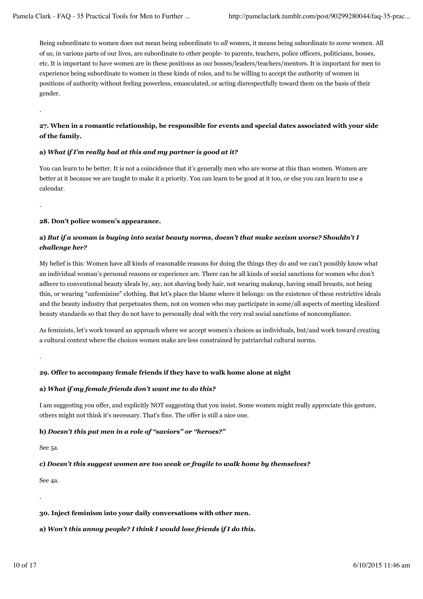Being subordinate to women does not mean being subordinate to *all* women, it means being subordinate to *some* women. All of us, in various parts of our lives, are subordinate to other people- to parents, teachers, police officers, politicians, bosses, etc. It is important to have women are in these positions as our bosses/leaders/teachers/mentors. It is important for men to experience being subordinate to women in these kinds of roles, and to be willing to accept the authority of women in positions of authority without feeling powerless, emasculated, or acting disrespectfully toward them on the basis of their gender.

# **27. When in a romantic relationship, be responsible for events and special dates associated with your side of the family.**

# **a)** *What if I'm really bad at this and my partner is good at it?*

You can learn to be better. It is not a coincidence that it's generally men who are worse at this than women. Women are better at it because we are taught to make it a priority. You can learn to be good at it too, or else you can learn to use a calendar.

.

.

# **28. Don't police women's appearance.**

# **a)** *But if a woman is buying into sexist beauty norms, doesn't that make sexism worse? Shouldn't I challenge her?*

My belief is this: Women have all kinds of reasonable reasons for doing the things they do and we can't possibly know what an individual woman's personal reasons or experience are. There can be all kinds of social sanctions for women who don't adhere to conventional beauty ideals by, say, not shaving body hair, not wearing makeup, having small breasts, not being thin, or wearing "unfeminine" clothing. But let's place the blame where it belongs: on the existence of these restrictive ideals and the beauty industry that perpetuates them, not on women who may participate in some/all aspects of meeting idealized beauty standards so that they do not have to personally deal with the very real social sanctions of noncompliance.

As feminists, let's work toward an approach where we accept women's choices as individuals, but/and work toward creating a cultural context where the choices women make are less constrained by patriarchal cultural norms.

.

# **29. Offer to accompany female friends if they have to walk home alone at night**

# **a)** *What if my female friends don't want me to do this?*

I am suggesting you offer, and explicitly NOT suggesting that you insist. Some women might really appreciate this gesture, others might not think it's necessary. That's fine. The offer is still a nice one.

# **b)** *Doesn't this put men in a role of "saviors" or "heroes?"*

See 5a.

# **c)** *Doesn't this suggest women are too weak or fragile to walk home by themselves?*

See 4a.

.

# **30. Inject feminism into your daily conversations with other men.**

# **a)** *Won't this annoy people? I think I would lose friends if I do this.*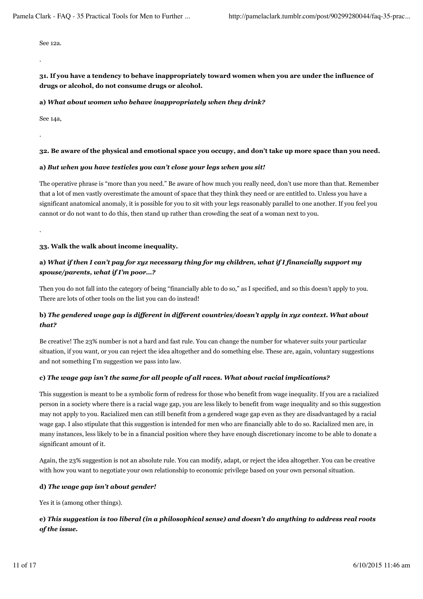See 12a.

.

**31. If you have a tendency to behave inappropriately toward women when you are under the influence of drugs or alcohol, do not consume drugs or alcohol.**

#### **a)** *What about women who behave inappropriately when they drink?*

See 14a,

.

#### **32. Be aware of the physical and emotional space you occupy, and don't take up more space than you need.**

#### **a)** *But when you have testicles you can't close your legs when you sit!*

The operative phrase is "more than you need." Be aware of how much you really need, don't use more than that. Remember that a lot of men vastly overestimate the amount of space that they think they need or are entitled to. Unless you have a significant anatomical anomaly, it is possible for you to sit with your legs reasonably parallel to one another. If you feel you cannot or do not want to do this, then stand up rather than crowding the seat of a woman next to you.

.

#### **33. Walk the walk about income inequality.**

# **a)** *What if then I can't pay for xyz necessary thing for my children, what if I financially support my spouse/parents, what if I'm poor…?*

Then you do not fall into the category of being "financially able to do so," as I specified, and so this doesn't apply to you. There are lots of other tools on the list you can do instead!

# **b)** *The gendered wage gap is different in different countries/doesn't apply in xyz context. What about that?*

Be creative! The 23% number is not a hard and fast rule. You can change the number for whatever suits your particular situation, if you want, or you can reject the idea altogether and do something else. These are, again, voluntary suggestions and not something I'm suggestion we pass into law.

# **c)** *The wage gap isn't the same for all people of all races. What about racial implications?*

This suggestion is meant to be a symbolic form of redress for those who benefit from wage inequality. If you are a racialized person in a society where there is a racial wage gap, you are less likely to benefit from wage inequality and so this suggestion may not apply to you. Racialized men can still benefit from a gendered wage gap even as they are disadvantaged by a racial wage gap. I also stipulate that this suggestion is intended for men who are financially able to do so. Racialized men are, in many instances, less likely to be in a financial position where they have enough discretionary income to be able to donate a significant amount of it.

Again, the 23% suggestion is not an absolute rule. You can modify, adapt, or reject the idea altogether. You can be creative with how you want to negotiate your own relationship to economic privilege based on your own personal situation.

# **d)** *The wage gap isn't about gender!*

Yes it is (among other things).

# **e)** *This suggestion is too liberal (in a philosophical sense) and doesn't do anything to address real roots of the issue.*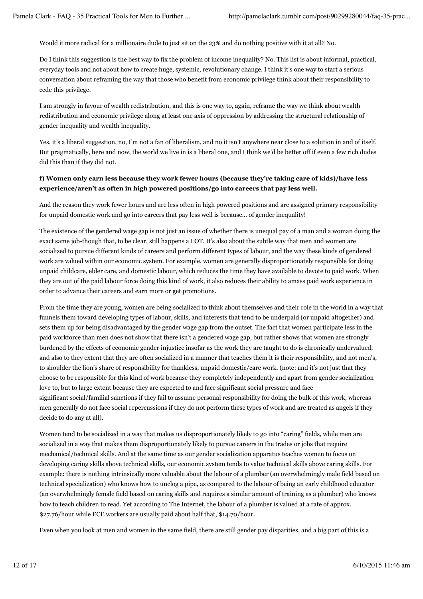Would it more radical for a millionaire dude to just sit on the 23% and do nothing positive with it at all? No.

Do I think this suggestion is the best way to fix the problem of income inequality? No. This list is about informal, practical, everyday tools and not about how to create huge, systemic, revolutionary change. I think it's one way to start a serious conversation about reframing the way that those who benefit from economic privilege think about their responsibility to cede this privilege.

I am strongly in favour of wealth redistribution, and this is one way to, again, reframe the way we think about wealth redistribution and economic privilege along at least one axis of oppression by addressing the structural relationship of gender inequality and wealth inequality.

Yes, it's a liberal suggestion, no, I'm not a fan of liberalism, and no it isn't anywhere near close to a solution in and of itself. But pragmatically, here and now, the world we live in is a liberal one, and I think we'd be better off if even a few rich dudes did this than if they did not.

# **f) Women only earn less because they work fewer hours (because they're taking care of kids)/have less experience/aren't as often in high powered positions/go into careers that pay less well.**

And the reason they work fewer hours and are less often in high powered positions and are assigned primary responsibility for unpaid domestic work and go into careers that pay less well is because… of gender inequality!

The existence of the gendered wage gap is not just an issue of whether there is unequal pay of a man and a woman doing the exact same job-though that, to be clear, still happens a LOT. It's also about the subtle way that men and women are socialized to pursue different kinds of careers and perform different types of labour, and the way these kinds of gendered work are valued within our economic system. For example, women are generally disproportionately responsible for doing unpaid childcare, elder care, and domestic labour, which reduces the time they have available to devote to paid work. When they are out of the paid labour force doing this kind of work, it also reduces their ability to amass paid work experience in order to advance their careers and earn more or get promotions.

From the time they are young, women are being socialized to think about themselves and their role in the world in a way that funnels them toward developing types of labour, skills, and interests that tend to be underpaid (or unpaid altogether) and sets them up for being disadvantaged by the gender wage gap from the outset. The fact that women participate less in the paid workforce than men does not show that there isn't a gendered wage gap, but rather shows that women are strongly burdened by the effects of economic gender injustice insofar as the work they are taught to do is chronically undervalued, and also to they extent that they are often socialized in a manner that teaches them it is their responsibility, and not men's, to shoulder the lion's share of responsibility for thankless, unpaid domestic/care work. (note: and it's not just that they choose to be responsible for this kind of work because they completely independently and apart from gender socialization love to, but to large extent because they are expected to and face significant social pressure and face significant social/familial sanctions if they fail to assume personal responsibility for doing the bulk of this work, whereas men generally do not face social repercussions if they do not perform these types of work and are treated as angels if they decide to do any at all).

Women tend to be socialized in a way that makes us disproportionately likely to go into "caring" fields, while men are socialized in a way that makes them disproportionately likely to pursue careers in the trades or jobs that require mechanical/technical skills. And at the same time as our gender socialization apparatus teaches women to focus on developing caring skills above technical skills, our economic system tends to value technical skills above caring skills. For example: there is nothing intrinsically more valuable about the labour of a plumber (an overwhelmingly male field based on technical specialization) who knows how to unclog a pipe, as compared to the labour of being an early childhood educator (an overwhelmingly female field based on caring skills and requires a similar amount of training as a plumber) who knows how to teach children to read. Yet according to The Internet, the labour of a plumber is valued at a rate of approx. \$27.76/hour while ECE workers are usually paid about half that, \$14.70/hour.

Even when you look at men and women in the same field, there are still gender pay disparities, and a big part of this is a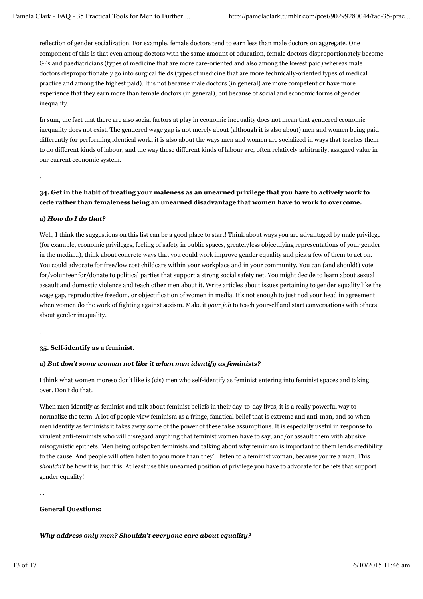reflection of gender socialization. For example, female doctors tend to earn less than male doctors on aggregate. One component of this is that even among doctors with the same amount of education, female doctors disproportionately become GPs and paediatricians (types of medicine that are more care-oriented and also among the lowest paid) whereas male doctors disproportionately go into surgical fields (types of medicine that are more technically-oriented types of medical practice and among the highest paid). It is not because male doctors (in general) are more competent or have more experience that they earn more than female doctors (in general), but because of social and economic forms of gender inequality.

In sum, the fact that there are also social factors at play in economic inequality does not mean that gendered economic inequality does not exist. The gendered wage gap is not merely about (although it is also about) men and women being paid differently for performing identical work, it is also about the ways men and women are socialized in ways that teaches them to do different kinds of labour, and the way these different kinds of labour are, often relatively arbitrarily, assigned value in our current economic system.

# **34. Get in the habit of treating your maleness as an unearned privilege that you have to actively work to cede rather than femaleness being an unearned disadvantage that women have to work to overcome.**

# **a)** *How do I do that?*

.

.

Well, I think the suggestions on this list can be a good place to start! Think about ways you are advantaged by male privilege (for example, economic privileges, feeling of safety in public spaces, greater/less objectifying representations of your gender in the media…), think about concrete ways that you could work improve gender equality and pick a few of them to act on. You could advocate for free/low cost childcare within your workplace and in your community. You can (and should!) vote for/volunteer for/donate to political parties that support a strong social safety net. You might decide to learn about sexual assault and domestic violence and teach other men about it. Write articles about issues pertaining to gender equality like the wage gap, reproductive freedom, or objectification of women in media. It's not enough to just nod your head in agreement when women do the work of fighting against sexism. Make it *your job* to teach yourself and start conversations with others about gender inequality.

# **35. Self-identify as a feminist.**

# **a)** *But don't some women not like it when men identify as feminists?*

I think what women moreso don't like is (cis) men who self-identify as feminist entering into feminist spaces and taking over. Don't do that.

When men identify as feminist and talk about feminist beliefs in their day-to-day lives, it is a really powerful way to normalize the term. A lot of people view feminism as a fringe, fanatical belief that is extreme and anti-man, and so when men identify as feminists it takes away some of the power of these false assumptions. It is especially useful in response to virulent anti-feminists who will disregard anything that feminist women have to say, and/or assault them with abusive misogynistic epithets. Men being outspoken feminists and talking about why feminism is important to them lends credibility to the cause. And people will often listen to you more than they'll listen to a feminist woman, because you're a man. This *shouldn't* be how it is, but it is. At least use this unearned position of privilege you have to advocate for beliefs that support gender equality!

…

#### **General Questions:**

# *Why address only men? Shouldn't everyone care about equality?*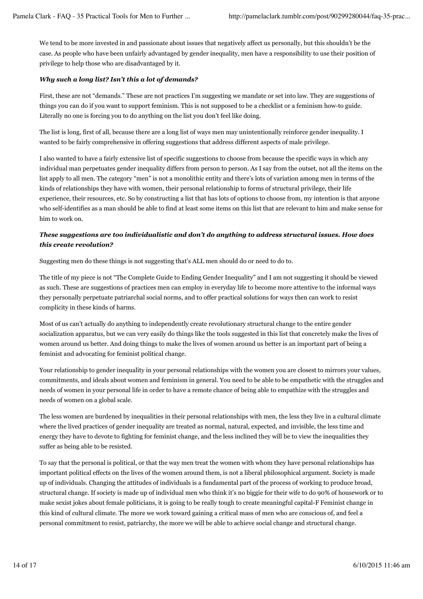We tend to be more invested in and passionate about issues that negatively affect us personally, but this shouldn't be the case. As people who have been unfairly advantaged by gender inequality, men have a responsibility to use their position of privilege to help those who are disadvantaged by it.

# *Why such a long list? Isn't this a lot of demands?*

First, these are not "demands." These are not practices I'm suggesting we mandate or set into law. They are suggestions of things you can do if you want to support feminism. This is not supposed to be a checklist or a feminism how-to guide. Literally no one is forcing you to do anything on the list you don't feel like doing.

The list is long, first of all, because there are a long list of ways men may unintentionally reinforce gender inequality. I wanted to be fairly comprehensive in offering suggestions that address different aspects of male privilege.

I also wanted to have a fairly extensive list of specific suggestions to choose from because the specific ways in which any individual man perpetuates gender inequality differs from person to person. As I say from the outset, not all the items on the list apply to all men. The category "men" is not a monolithic entity and there's lots of variation among men in terms of the kinds of relationships they have with women, their personal relationship to forms of structural privilege, their life experience, their resources, etc. So by constructing a list that has lots of options to choose from, my intention is that anyone who self-identifies as a man should be able to find at least some items on this list that are relevant to him and make sense for him to work on.

# *These suggestions are too individualistic and don't do anything to address structural issues. How does this create revolution?*

Suggesting men do these things is not suggesting that's ALL men should do or need to do to.

The title of my piece is not "The Complete Guide to Ending Gender Inequality" and I am not suggesting it should be viewed as such. These are suggestions of practices men can employ in everyday life to become more attentive to the informal ways they personally perpetuate patriarchal social norms, and to offer practical solutions for ways then can work to resist complicity in these kinds of harms.

Most of us can't actually do anything to independently create revolutionary structural change to the entire gender socialization apparatus, but we can very easily do things like the tools suggested in this list that concretely make the lives of women around us better. And doing things to make the lives of women around us better is an important part of being a feminist and advocating for feminist political change.

Your relationship to gender inequality in your personal relationships with the women you are closest to mirrors your values, commitments, and ideals about women and feminism in general. You need to be able to be empathetic with the struggles and needs of women in your personal life in order to have a remote chance of being able to empathize with the struggles and needs of women on a global scale.

The less women are burdened by inequalities in their personal relationships with men, the less they live in a cultural climate where the lived practices of gender inequality are treated as normal, natural, expected, and invisible, the less time and energy they have to devote to fighting for feminist change, and the less inclined they will be to view the inequalities they suffer as being able to be resisted.

To say that the personal is political, or that the way men treat the women with whom they have personal relationships has important political effects on the lives of the women around them, is not a liberal philosophical argument. Society is made up of individuals. Changing the attitudes of individuals is a fundamental part of the process of working to produce broad, structural change. If society is made up of individual men who think it's no biggie for their wife to do 90% of housework or to make sexist jokes about female politicians, it is going to be really tough to create meaningful capital-F Feminist change in this kind of cultural climate. The more we work toward gaining a critical mass of men who are conscious of, and feel a personal commitment to resist, patriarchy, the more we will be able to achieve social change and structural change.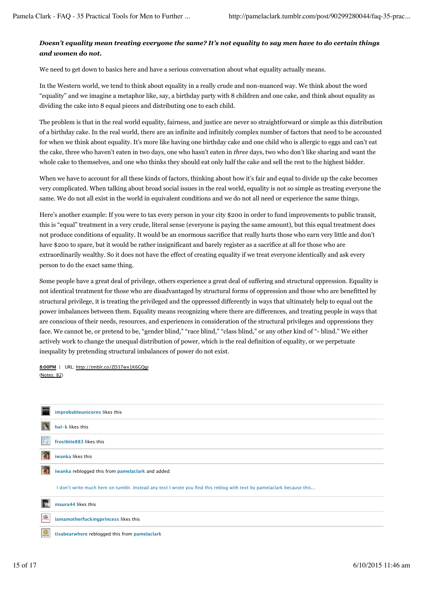# *Doesn't equality mean treating everyone the same? It's not equality to say men have to do certain things and women do not.*

We need to get down to basics here and have a serious conversation about what equality actually means.

In the Western world, we tend to think about equality in a really crude and non-nuanced way. We think about the word "equality" and we imagine a metaphor like, say, a birthday party with 8 children and one cake, and think about equality as dividing the cake into 8 equal pieces and distributing one to each child.

The problem is that in the real world equality, fairness, and justice are never so straightforward or simple as this distribution of a birthday cake. In the real world, there are an infinite and infinitely complex number of factors that need to be accounted for when we think about equality. It's more like having one birthday cake and one child who is allergic to eggs and can't eat the cake, three who haven't eaten in two days, one who hasn't eaten in *three* days, two who don't like sharing and want the whole cake to themselves, and one who thinks they should eat only half the cake and sell the rest to the highest bidder.

When we have to account for all these kinds of factors, thinking about how it's fair and equal to divide up the cake becomes very complicated. When talking about broad social issues in the real world, equality is not so simple as treating everyone the same. We do not all exist in the world in equivalent conditions and we do not all need or experience the same things.

Here's another example: If you were to tax every person in your city \$200 in order to fund improvements to public transit, this is "equal" treatment in a very crude, literal sense (everyone is paying the same amount), but this equal treatment does not produce conditions of equality. It would be an enormous sacrifice that really hurts those who earn very little and don't have \$200 to spare, but it would be rather insignificant and barely register as a sacrifice at all for those who are extraordinarily wealthy. So it does not have the effect of creating equality if we treat everyone identically and ask every person to do the exact same thing.

Some people have a great deal of privilege, others experience a great deal of suffering and structural oppression. Equality is not identical treatment for those who are disadvantaged by structural forms of oppression and those who are benefitted by structural privilege, it is treating the privileged and the oppressed differently in ways that ultimately help to equal out the power imbalances between them. Equality means recognizing where there are differences, and treating people in ways that are conscious of their needs, resources, and experiences in consideration of the structural privileges and oppressions they face. We cannot be, or pretend to be, "gender blind," "race blind," "class blind," or any other kind of "- blind." We either actively work to change the unequal distribution of power, which is the real definition of equality, or we perpetuate inequality by pretending structural imbalances of power do not exist.

(Notes: 82) **8:00PM** | URL: http://tmblr.co/ZD37wx1K6GQgi

|   | improbableunicorns likes this                                                                                          |
|---|------------------------------------------------------------------------------------------------------------------------|
|   | hal-k likes this                                                                                                       |
|   | frostbite883 likes this                                                                                                |
|   | iwanka likes this                                                                                                      |
|   | iwanka reblogged this from pamelaclark and added:                                                                      |
|   | I don't write much here on tumblr. Instead any text I wrote you find this reblog with text by pamelaclark because this |
|   | maura44 likes this                                                                                                     |
| 寫 | iamamotherfuckingprincess likes this                                                                                   |
| z | tisabearwhere reblogged this from pamelaclark                                                                          |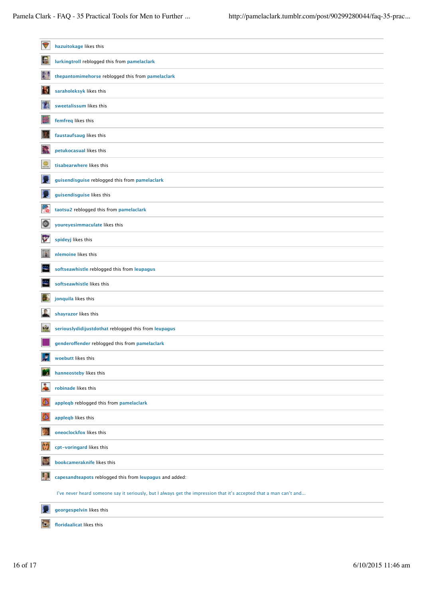| $\blacktriangledown$ | hazuitokage likes this                                                                                             |
|----------------------|--------------------------------------------------------------------------------------------------------------------|
| B                    | lurkingtroll reblogged this from pamelaclark                                                                       |
| 奏                    | thepantomimehorse reblogged this from pamelaclark                                                                  |
| 碰                    | saraholeksyk likes this                                                                                            |
| T.                   | sweetalissum likes this                                                                                            |
|                      | femfreq likes this                                                                                                 |
| 建                    | faustaufsaug likes this                                                                                            |
| Ņ.                   | petukocasual likes this                                                                                            |
| $\circledcirc$       | tisabearwhere likes this                                                                                           |
|                      | guisendisguise reblogged this from pamelaclark                                                                     |
| ы                    | guisendisguise likes this                                                                                          |
| ob                   | taotsu2 reblogged this from pamelaclark                                                                            |
| O                    | youreyesimmaculate likes this                                                                                      |
| Y.                   | spideyj likes this                                                                                                 |
| 隆                    | nlemoine likes this                                                                                                |
| ÷                    | softseawhistle reblogged this from leupagus                                                                        |
| ÷                    | softseawhistle likes this                                                                                          |
|                      | jonquila likes this                                                                                                |
|                      | shayrazor likes this                                                                                               |
| 燦                    | seriouslydidijustdothat reblogged this from leupagus                                                               |
|                      | genderoffender reblogged this from pamelaclark                                                                     |
| F                    | woebutt likes this                                                                                                 |
| ×                    | hanneosteby likes this                                                                                             |
| Ā                    | robinade likes this                                                                                                |
|                      | appleqb reblogged this from pamelaclark                                                                            |
| P                    | applegb likes this                                                                                                 |
|                      | oneoclockfox likes this                                                                                            |
| O                    | cpt-voringard likes this                                                                                           |
|                      | bookcameraknife likes this                                                                                         |
| A                    | capesandteapots reblogged this from leupagus and added:                                                            |
|                      | I've never heard someone say it seriously, but I always get the impression that it's accepted that a man can't and |
|                      | georgespelvin likes this                                                                                           |
| o                    | floridaalicat likes this                                                                                           |